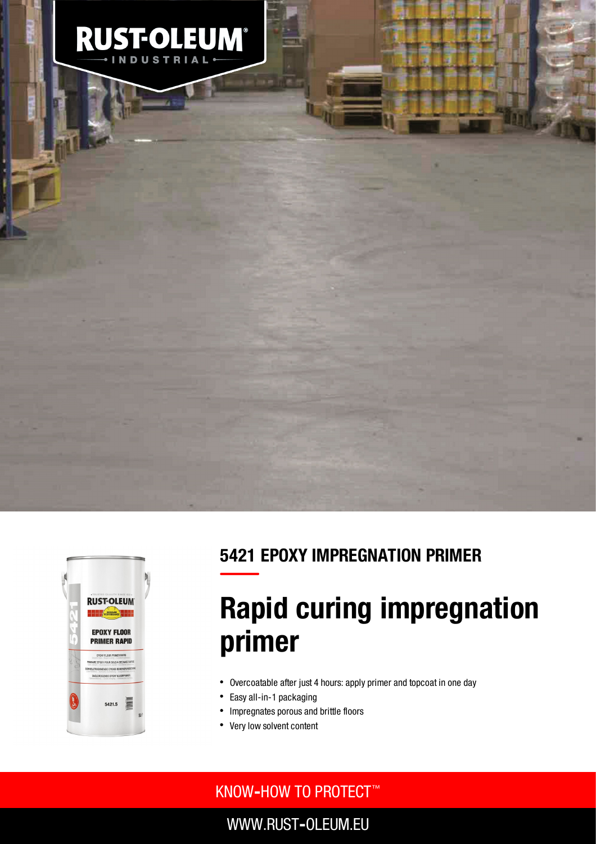



### 5421 EPOXY IMPREGNATION PRIMER

# Rapid curing impregnation primer

- Overcoatable after just 4 hours: apply primer and topcoat in one day
- $\bullet$ Easy all-in-1 packaging
- Impregnates porous and brittle floors  $\bullet$
- Very low solvent content

### KNOW**‐**HOW TO PROTECT ™

WWW.RUST**‐**OLEUM.EU